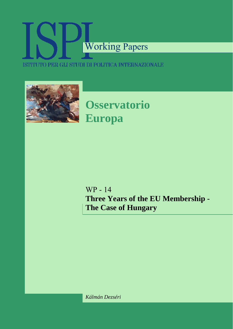# Working Papers ISTITUTO PER GLI STUDI DI POLITICA INTERNAZIONALE



**Osservatorio Europa** 

WP - 14 **Three Years of the EU Membership - The Case of Hungary**

*Kálmán Dezséri*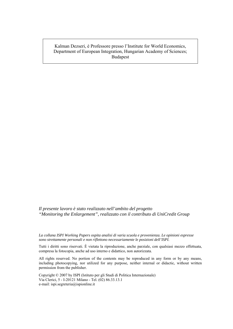Kalman Dezseri, è Professore presso l'Institute for World Economics, Department of European Integration, Hungarian Academy of Sciences; Budapest

*Il presente lavoro è stato realizzato nell'ambito del progetto "Monitoring the Enlargement", realizzato con il contributo di UniCredit Group* 

*La collana ISPI Working Papers ospita analisi di varia scuola e provenienza. Le opinioni espresse sono strettamente personali e non riflettono necessariamente le posizioni dell'ISPI.*

Tutti i diritti sono riservati. È vietata la riproduzione, anche parziale, con qualsiasi mezzo effettuata, compresa la fotocopia, anche ad uso interno e didattico, non autorizzata.

All rights reserved. No portion of the contents may be reproduced in any form or by any means, including photocopying, nor utilized for any purpose, neither internal or didactic, without written permission from the publisher.

Copyright © 2007 by ISPI (Istituto per gli Studi di Politica Internazionale) Via Clerici, 5 - I-20121 Milano - Tel. (02) 86.33.13.1 e-mail: ispi.segreteria@ispionline.it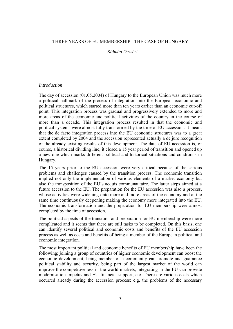# THREE YEARS OF EU MEMBERSHIP - THE CASE OF HUNGARY

#### *Kálmán Dezséri*

#### *Introduction*

The day of accession (01.05.2004) of Hungary to the European Union was much more a political hallmark of the process of integration into the European economic and political structures, which started more than ten years earlier than an economic cut-off point. This integration process was gradual and progressively extended to more and more areas of the economic and political activities of the country in the course of more than a decade. This integration process resulted in that the economic and political systems were almost fully transformed by the time of EU accession. It meant that the de facto integration process into the EU economic structures was to a great extent completed by 2004 and the accession represented actually a de jure recognition of the already existing results of this development. The date of EU accession is, of course, a historical dividing line; it closed a 15 year period of transition and opened up a new one which marks different political and historical situations and conditions in Hungary.

The 15 years prior to the EU accession were very critical because of the serious problems and challenges caused by the transition process. The economic transition implied not only the implementation of various elements of a market economy but also the transposition of the EU's acquis communautaire. The latter steps aimed at a future accession to the EU. The preparation for the EU accession was also a process, whose activities were widening onto more and more areas of the economy and at the same time continuously deepening making the economy more integrated into the EU. The economic transformation and the preparation for EU membership were almost completed by the time of accession.

The political aspects of the transition and preparation for EU membership were more complicated and it seems that there are still tasks to be completed. On this basis, one can identify several political and economic costs and benefits of the EU accession process as well as costs and benefits of being a member of the European political and economic integration.

The most important political and economic benefits of EU membership have been the following; joining a group of countries of higher economic development can boost the economic development, being member of a community can promote and guarantee political stability and security, being part of the largest market of the world can improve the competitiveness in the world markets, integrating in the EU can provide modernisation impetus and EU financial support, etc. There are various costs which occurred already during the accession process: e.g. the problems of the necessary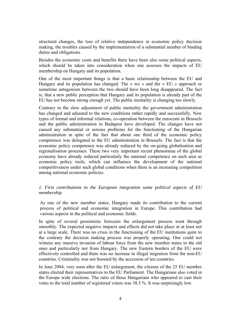structural changes, the loss of relative independence in economic policy decision making, the troubles caused by the implementation of a substantial number of binding duties and obligations.

Besides the economic costs and benefits there have been also some political aspects, which should be taken into consideration when one assesses the impacts of EU membership on Hungary and its population.

One of the most important things is that a basic relationship between the EU and Hungary and its population has changed. The « we » and the « EU » approach or sometime antagonism between the two should have been long disappeared. The fact is, that a new public perception that Hungary and its population is already part of the EU has not become strong enough yet. The public mentality is changing too slowly.

Contrary to the slow adjustment of public mentality the government administration has changed and adjusted to the new conditions rather rapidly and successfully. New types of formal and informal relations, co-operation between the eurocrats in Brussels and the public administration in Budapest have developed. The changes have not caused any substantial or serious problems for the functioning of the Hungarian administration in spite of the fact that about one third of the economic policy competence was delegated to the EU administration in Brussels. The fact is that the economic policy competence was already reduced by the on-going globalisation and regionalisation processes. These two very important recent phenomena of the global economy have already reduced particularly the national competence on such area as economic policy tools, which can influence the development of the national competitiveness under such global conditions when there is an increasing competition among national economic policies.

# *1. First contributions to the European integration some political aspects of EU membership*

As one of the new member states, Hungary made its contribution to the current process of political and economic integration in Europe. This contribution had various aspects in the political and economic fields.

In spite of several pessimistic forecasts the enlargement process went through smoothly. The expected negative impacts and effects did not take place or at least not at a large scale. There was no crisis in the functioning of the EU institutions quite to the contrary the decision making process was properly operating. One could not witness any massive invasion of labour force from the new member states to the old ones and particularly not from Hungary. The new Eastern borders of the EU were effectively controlled and there was no increase in illegal migration from the non-EU countries. Criminality was not boosted by the accession of ten countries.

In June 2004, very soon after the EU enlargement, the citizens of the 25 EU member states elected their representatives to the EU Parliament. The Hungarians also voted in the Europe wide elections. The ratio of those Hungarians who appeared to cast their votes to the total number of registered voters was 38.5 %. It was surprisingly low.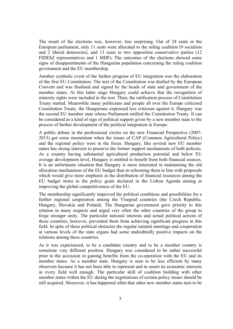The result of the elections was, however, less surprising. Out of 24 seats in the European parliament, only 11 seats were allocated to the ruling coalition (9 socialists and 2 liberal democrats), and 13 seats to two opposition conservative parties (12 FIDESZ representatives and 1 MDF). The outcomes of the elections showed some signs of disappointments of the Hungarian population concerning the ruling coalition government and the EU membership.

Another symbolic event of the further progress of EU integration was the elaboration of the first EU Constitution. The text of the Constitution was drafted by the European Convent and was finalised and signed by the heads of state and government of the member states. At this latter stage Hungary could achieve that the recognition of minority rights were included in the text. Then, the ratification process of Constitution Treaty started. Meanwhile many politicians and people all over the Europe criticised Constitution Treaty, the Hungarians expressed less criticism against it. Hungary was the second EU member state whose Parliament ratified the Constitution Treaty. It can be considered as a kind of sign of political support given by a new member state to the process of further development of the political integration in Europe.

A public debate in the professional circles on the new Financial Perspective (2007- 2013) got some momentum when the issues of CAP (Common Agricultural Policy) and the regional policy were in the focus. Hungary, like several new EU member states has strong interests to preserve the former support mechanisms of both policies. As a country having substantial agricultural production potential and below EU average development level, Hungary is entitled to benefit from both financial sources. It is an unfortunate situation that Hungary is more interested in maintaining the old allocation mechanisms of the EU budget than in reforming them in line with proposals which would give more emphasis in the distribution of financial resources among the EU budget items to the policy goals declared in the Lisbon Agenda aiming at improving the global competitiveness of the EU.

The membership significantly improved the political conditions and possibilities for a further regional cooperation among the Visegrad countries (the Czech Republic, Hungary, Slovakia and Poland). The Hungarian government gave priority to this relation in many respects and urged very often the other countries of the group to forge stronger unity. The particular national interests and actual political actions of these countries, however, prevented them from achieving significant progress in this field. In spite of these political obstacles the regular summit meetings and cooperation at various levels of the state organs had some undoubtedly positive impacts on the relations among these countries.

As it was experienced, to be a candidate country and to be a member country is sometime very different position. Hungary was considered to be rather successful prior to the accession in gaining benefits from the co-operation with the EU and its member states. As a member state, Hungary is seen to be less efficient by many observers because it has not been able to represent and to assert its economic interests in every field well enough. The particular skill of coalition building with other member states within the EU during the negotiations of certain policy issues should be still acquired. Moreover, it has happened often that other new member states turn to be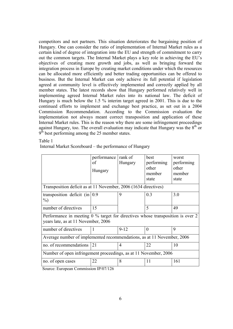competitors and not partners. This situation deteriorates the bargaining position of Hungary. One can consider the ratio of implementation of Internal Market rules as a certain kind of degree of integration into the EU and strength of commitment to carry out the common targets. The Internal Market plays a key role in achieving the EU's objectives of creating more growth and jobs, as well as bringing forward the integration process in Europe by creating market conditions under which the resources can be allocated more efficiently and better trading opportunities can be offered to business. But the Internal Market can only achieve its full potential if legislation agreed at community level is effectively implemented and correctly applied by all member states. The latest records show that Hungary performed relatively well in implementing agreed Internal Market rules into its national law. The deficit of Hungary is much below the 1.5 % interim target agreed in 2001. This is due to the continued efforts to implement and exchange best practice, as set out in a 2004 Commission Recommendation. According to the Commission evaluation the implementation not always meant correct transposition and application of these Internal Market rules. This is the reason why there are some infringement proceedings against Hungary, too. The overall evaluation may indicate that Hungary was the  $8<sup>th</sup>$  or  $9<sup>th</sup>$  best performing among the 25 member states.

#### Table 1

| Internal Market Scoreboard – the performance of Hungary |
|---------------------------------------------------------|
|---------------------------------------------------------|

|                                                                                                                       | performance<br>οf<br>Hungary | rank of<br>Hungary | best<br>performing<br>other<br>member<br>state | worst<br>performing<br>other<br>member<br>state |  |  |  |
|-----------------------------------------------------------------------------------------------------------------------|------------------------------|--------------------|------------------------------------------------|-------------------------------------------------|--|--|--|
| Transposition deficit as at 11 November, 2006 (1634 directives)                                                       |                              |                    |                                                |                                                 |  |  |  |
| transposition deficit (in $0.9$<br>$\%$ )                                                                             |                              | 9                  | 0.3                                            | 3.0                                             |  |  |  |
| number of directives                                                                                                  | 15                           |                    | 5                                              | 49                                              |  |  |  |
| Performance in meeting 0 % target for directives whose transposition is over 2<br>years late, as at 11 November, 2006 |                              |                    |                                                |                                                 |  |  |  |
| number of directives                                                                                                  | $\overline{1}$               | $9 - 12$           | $\theta$                                       | 9                                               |  |  |  |
| Average number of implemented recommendations, as at 11 November, 2006                                                |                              |                    |                                                |                                                 |  |  |  |
| no. of recommendations                                                                                                | 21                           | $\overline{4}$     | 22                                             | 10                                              |  |  |  |
| Number of open infringement proceedings, as at 11 November, 2006                                                      |                              |                    |                                                |                                                 |  |  |  |
| no. of open cases                                                                                                     | 22                           | 8                  | 11                                             | 161                                             |  |  |  |

Source: European Commission IP/07/126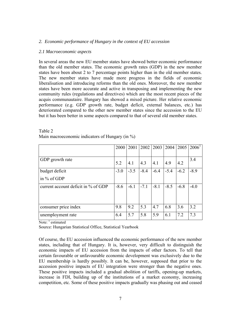## *2. Economic performance of Hungary in the context of EU accession*

# *2.1 Macroeconomic aspects*

In several areas the new EU member states have showed better economic performance than the old member states. The economic growth rates (GDP) in the new member states have been about 2 to 7 percentage points higher than in the old member states. The new member states have made more progress in the fields of economic liberalisation and introducing reforms than the old ones. Moreover, the new member states have been more accurate and active in transposing and implementing the new community rules (regulations and directives) which are the most recent pieces of the acquis communautaire. Hungary has showed a mixed picture. Her relative economic performance (e.g. GDP growth rate, budget deficit, external balances, etc.) has deteriorated compared to the other new member states since the accession to the EU but it has been better in some aspects compared to that of several old member states.

|                                        | 2000   | 2001   |        | 2002 2003 | 2004   | 2005   | $2006^1$ |
|----------------------------------------|--------|--------|--------|-----------|--------|--------|----------|
| GDP growth rate                        | 5.2    | 4.1    | 4.3    | 4.1       | 4.9    | 4.2    | 3.4      |
| budget deficit                         | $-3.0$ | $-3.5$ | $-8.4$ | $-6.4$    | $-5.4$ | $-6.2$ | $-8.9$   |
| in % of GDP                            |        |        |        |           |        |        |          |
| current account deficit in $\%$ of GDP | $-8.6$ | $-6.1$ | $-7.1$ | $-8.1$    | $-8.5$ | $-6.8$ | $-4.0$   |
| consumer price index                   | 9.8    | 9.2    | 5.3    | 4.7       | 6.8    | 3.6    | 3.2      |
| unemployment rate                      | 6.4    | 5.7    | 5.8    | 5.9       | 6.1    | 7.2    | 7.3      |

| Table 2                                         |  |
|-------------------------------------------------|--|
| Main macroeconomic indicators of Hungary (in %) |  |

Note: <sup>1</sup> estimated

Source: Hungarian Statistical Office, Statistical Yearbook

Of course, the EU accession influenced the economic performance of the new member states, including that of Hungary. It is, however, very difficult to distinguish the economic impacts of EU accession from the impacts of other factors. To tell that certain favourable or unfavourable economic development was exclusively due to the EU membership is hardly possibly. It can be, however, supposed that prior to the accession positive impacts of EU integration were stronger than the negative ones. These positive impacts included a gradual abolition of tariffs, opening-up markets, increase in FDI, building up of the institutions of a market economy, increasing competition, etc. Some of these positive impacts gradually was phasing out and ceased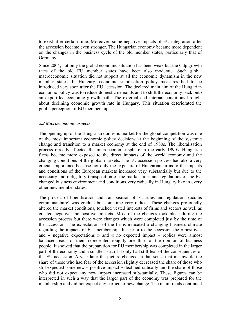to exist after certain time. Moreover, some negative impacts of EU integration after the accession became even stronger. The Hungarian economy became more dependent on the changes in the business cycle of the old member states, particularly that of Germany.

Since 2004, not only the global economic situation has been weak but the Gdp growth rates of the old EU member states have been also moderate. Such global macroeconomic situation did not support at all the economic dynamism in the new member states. In Hungary, economic stabilisation policy measures had to be introduced very soon after the EU accession. The declared main aim of the Hungarian economic policy was to reduce domestic demands and to shift the economy back onto an export-led economic growth path. The external and internal conditions brought about declining economic growth rate in Hungary. This situation deteriorated the public perception of EU membership.

#### *2.2 Microeconomic aspects*

The opening up of the Hungarian domestic market for the global competition was one of the most important economic policy decisions at the beginning of the systemic change and transition to a market economy at the end of 1980s. The liberalisation process directly affected the microeconomic sphere in the early 1990s. Hungarian firms became more exposed to the direct impacts of the world economy and the changing conditions of the global markets. The EU accession process had also a very crucial importance because not only the exposure of Hungarian firms to the impacts and conditions of the European markets increased very substantially but due to the necessary and obligatory transposition of the market rules and regulations of the EU changed business environment and conditions very radically in Hungary like in every other new member states.

The process of liberalisation and transposition of EU rules and regulations (acquis communautaire) was gradual but sometime very radical. These changes profoundly altered the market conditions, touched vested interests of firms and sectors as well as created negative and positive impacts. Most of the changes took place during the accession process but there were changes which were completed just by the time of the accession. The expectations of the firms indicated a changing business climate regarding the impacts of EU membership. Just prior to the accession the « positive» and « negative expectations » and « no expected impact » replies were almost balanced; each of them represented roughly one third of the opinion of business people. It showed that the preparation for EU membership was completed in the larger part of the economy and a smaller part of it only had still fear of the consequences of the EU accession. A year later the picture changed in that sense that meanwhile the share of those who had fear of the accession slightly decreased the share of those who still expected some new « positive impact » declined radically and the share of those who did not expect any new impact increased substantially. These figures can be interpreted in such a way that the larger part of the economy was prepared for the membership and did not expect any particular new change. The main trends continued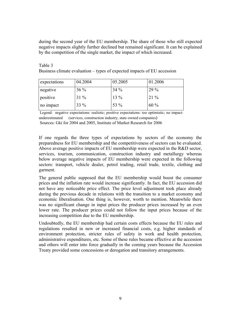during the second year of the EU membership. The share of those who still expected negative impacts slightly further declined but remained significant. It can be explained by the competition of the single market, the impact of which increased.

| Table 3                                                                 |  |  |
|-------------------------------------------------------------------------|--|--|
| Business climate evaluation – types of expected impacts of EU accession |  |  |

| expectations | 04.2004 | 05.2005 | 01.2006 |
|--------------|---------|---------|---------|
| negative     | $36\%$  | $34\%$  | 29 %    |
| positive     | $31\%$  | $13\%$  | $21\%$  |
| no impact    | $33\%$  | 53 %    | 60%     |

 Legend: negative expectations: realistic; positive expectations: too optimistic; no impact: underestimated (services, construction industry, state owned companies)

Sources: Gki for 2004 and 2005, Institute of Market Research for 2006

If one regards the three types of expectations by sectors of the economy the preparedness for EU membership and the competitiveness of sectors can be evaluated. Above average positive impacts of EU membership were expected in the R&D sector, services, tourism, communication, construction industry and metallurgy whereas below average negative impacts of EU membership were expected in the following sectors: transport, vehicle dealer, petrol trading, retail trade, textile, clothing and garment.

The general public supposed that the EU membership would boost the consumer prices and the inflation rate would increase significantly. In fact, the EU accession did not have any noticeable price effect. The price level adjustment took place already during the previous decade in relations with the transition to a market economy and economic liberalisation. One thing is, however, worth to mention. Meanwhile there was no significant change in input prices the producer prices increased by an even lower rate. The producer prices could not follow the input prices because of the increasing competition due to the EU membership.

Undoubtedly, the EU membership had certain costs effects because the EU rules and regulations resulted in new or increased financial costs, e.g. higher standards of environment protection, stricter rules of safety in work and health protection, administrative expenditures, etc. Some of these rules became effective at the accession and others will enter into force gradually in the coming years because the Accession Treaty provided some concessions or derogation and transitory arrangements.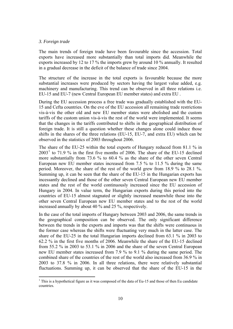## *3. Foreign trade*

 $\overline{a}$ 

The main trends of foreign trade have been favourable since the accession. Total exports have increased more substantially than total imports did. Meanwhile the exports increased by 12 to 17 % the imports grew by around 10 % annually. It resulted in a gradual decrease in the deficit of the balance of trade since 2004.

The structure of the increase in the total exports is favourable because the more substantial increases were produced by sectors having the largest value added, e.g. machinery and manufacturing. This trend can be observed in all three relations i.e. EU-15 and EU-7 (new Central European EU member states) and extra EU .

During the EU accession process a free trade was gradually established with the EU-15 and Cefta countries. On the eve of the EU accession all remaining trade restrictions vis-à-vis the other old and new EU member states were abolished and the custom tariffs of the custom union vis-à-vis the rest of the world were implemented. It seems that the changes in the tariffs contributed to shifts in the geographical distribution of foreign trade. It is still a question whether these changes alone could induce those shifts in the shares of the three relations (EU-15, EU-7, and extra EU) which can be observed in the statistics of 2003 throughout 2006.

The share of the EU-25 within the total exports of Hungary reduced from 81.1 % in  $2003<sup>1</sup>$  $2003<sup>1</sup>$  $2003<sup>1</sup>$  to 71.9 % in the first five months of 2006. The share of the EU-15 declined more substantially from 73.6 % to 60.4 % as the share of the other seven Central European new EU member states increased from 7.5 % to 11.5 % during the same period. Moreover, the share of the rest of the world grew from 18.9 % to 28.1 %. Summing up, it can be seen that the share of the EU-15 in the Hungarian exports has incessantly declined and those of the other seven Central European new EU member states and the rest of the world continuously increased since the EU accession of Hungary in 2004. In value term, the Hungarian exports during this period into the countries of EU-15 almost stagnated or slightly increased meanwhile those into the other seven Central European new EU member states and to the rest of the world increased annually by about 40 % and 25 %, respectively.

In the case of the total imports of Hungary between 2003 and 2006, the same trends in the geographical composition can be observed. The only significant difference between the trends in the exports and imports was that the shifts were continuous in the former case whereas the shifts were fluctuating very much in the latter case. The share of the EU-25 in the total Hungarian imports declined from 63.1 % in 2003 to 62.2 % in the first five months of 2006. Meanwhile the share of the EU-15 declined from 55.2 % in 2003 to 53.1 % in 2006 and the share of the seven Central European new EU member states increased from 7.9 % to 9.1 % during the same period. The combined share of the countries of the rest of the world also increased from 36.9 % in 2003 to 37.8 % in 2006. In all three relations, there were relatively substantial fluctuations. Summing up, it can be observed that the share of the EU-15 in the

<span id="page-9-0"></span><sup>&</sup>lt;sup>1</sup> This is a hypothetical figure as it was composed of the data of Eu-15 and those of then Eu candidate countries.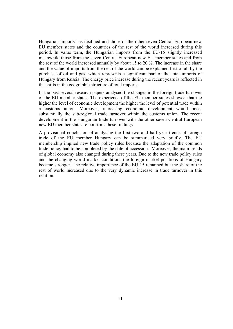Hungarian imports has declined and those of the other seven Central European new EU member states and the countries of the rest of the world increased during this period. In value term, the Hungarian imports from the EU-15 slightly increased meanwhile those from the seven Central European new EU member states and from the rest of the world increased annually by about 15 to 20 %. The increase in the share and the value of imports from the rest of the world can be explained first of all by the purchase of oil and gas, which represents a significant part of the total imports of Hungary from Russia. The energy price increase during the recent years is reflected in the shifts in the geographic structure of total imports.

In the past several research papers analysed the changes in the foreign trade turnover of the EU member states. The experience of the EU member states showed that the higher the level of economic development the higher the level of potential trade within a customs union. Moreover, increasing economic development would boost substantially the sub-regional trade turnover within the customs union. The recent development in the Hungarian trade turnover with the other seven Central European new EU member states re-confirms these findings.

A provisional conclusion of analysing the first two and half year trends of foreign trade of the EU member Hungary can be summarised very briefly. The EU membership implied new trade policy rules because the adaptation of the common trade policy had to be completed by the date of accession. Moreover, the main trends of global economy also changed during these years. Due to the new trade policy rules and the changing world market conditions the foreign market positions of Hungary became stronger. The relative importance of the EU-15 remained but the share of the rest of world increased due to the very dynamic increase in trade turnover in this relation.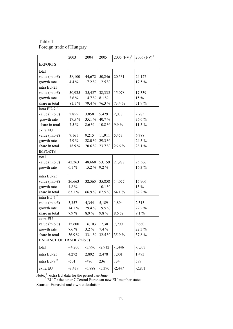Table 4 Foreign trade of Hungary

|                                    | 2003     | 2004     | 2005     | $2005$ $(I-V)^{1}$ | $2006$ (I-V) <sup>1</sup> |
|------------------------------------|----------|----------|----------|--------------------|---------------------------|
| <b>EXPORTS</b>                     |          |          |          |                    |                           |
| total                              |          |          |          |                    |                           |
| value (mio $\epsilon$ )            | 38,100   | 44,672   | 50,246   | 20,531             | 24,127                    |
| growth rate                        | 4.4 %    | 17.2%    | 12.5 %   |                    | 17.5 %                    |
| intra EU-25                        |          |          |          |                    |                           |
| value (mio $\epsilon$ )            | 30,935   | 35,457   | 38,335   | 15,078             | 17,339                    |
| growth rate                        | 3.6 %    | 14.7%    | 8.1%     |                    | 15 %                      |
| share in total                     | 81.1%    | 79.4 %   | 76.3%    | 73.4 %             | 71.9%                     |
| intra EU-7 $2$                     |          |          |          |                    |                           |
| value (mio $\epsilon$ )            | 2,855    | 3,858    | 5,429    | 2,037              | 2,783                     |
| growth rate                        | 17.5 %   | 35.1 %   | 40.7%    |                    | 36.6%                     |
| share in total                     | $7.5\%$  | 8.6%     | 10.8%    | 9.9%               | 11.5 %                    |
| extra EU                           |          |          |          |                    |                           |
| value (mio $\epsilon$ )            | 7,161    | 9,215    | 11,911   | 5,453              | 6,788                     |
| growth rate                        | 7.9%     | 28.0%    | 29.3 %   |                    | 24.5 %                    |
| share in total                     | 18.9%    | 20.6%    | 23.7%    | 26.6%              | 28.1%                     |
| <b>IMPORTS</b>                     |          |          |          |                    |                           |
| total                              |          |          |          |                    |                           |
| value (mio $\epsilon$ )            | 42,263   | 48,668   | 53,159   | 21,977             | 25,566                    |
| growth rate                        | 6.1%     | 15.2%    | 9.2%     |                    | 16.3 %                    |
|                                    |          |          |          |                    |                           |
| intra EU-25                        |          |          |          |                    |                           |
| value (mio $\epsilon$ )            | 26,663   | 32,565   | 35,858   | 14,077             | 15,906                    |
| growth rate                        | 4.8%     |          | $10.1\%$ |                    | 13 %                      |
| share in total                     | 63.1%    | 66.9%    | 67.5%    | 64.1 %             | 62.2%                     |
| intra EU-7 $^2$                    |          |          |          |                    |                           |
| value (mio $\epsilon$ )            | 3,357    | 4,344    | 5,189    | 1,894              | 2,315                     |
| growth rate                        | 14.1 %   | 29.4%    | 19.5 %   |                    | 22.2 %                    |
| share in total                     | 7.9%     | 8.9%     | 9.8%     | 8.6%               | 9.1%                      |
| extra EU                           |          |          |          |                    |                           |
| value (mio $\epsilon$ )            | 15,600   | 16,103   | 17,301   | 7,900              | 9,660                     |
| growth rate                        | $7.6\%$  | $3.2\%$  | $7.4\%$  |                    | 22.3 %                    |
| share in total                     | 36.9%    | 33.1 %   | 32.5 %   | 35.9%              | 37.8%                     |
| BALANCE OF TRADE (mio $\epsilon$ ) |          |          |          |                    |                           |
| total                              | $-4,200$ | $-3,996$ | $-2,912$ | $-1,446$           | $-1,378$                  |
| intra EU-25                        | 4,272    | 2,892    | 2,478    | 1,001              | 1,493                     |
| intra EU-7 $^2$                    | $-501$   | $-486$   | 236      | 134                | 587                       |
| extra EU                           | $-8,439$ | $-6,888$ | $-5,390$ | $-2,447$           | $-2,871$                  |

Note:  $\frac{1}{1}$  extra EU data for the period Jan-June

<sup>2</sup> EU-7 : the other 7 Central European new EU member states

Source: Eurostat and own calculation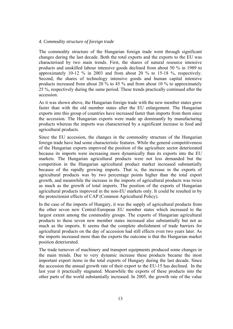## *4. Commodity structure of foreign trade*

The commodity structure of the Hungarian foreign trade went through significant changes during the last decade. Both the total exports and the exports to the EU was characterised by two main trends. First, the shares of natural resource intensive products and unskilled labour intensive goods declined from about 50 % in 1989 to approximately 10-12 % in 2003 and from about 20 % to 15-18 %, respectively. Second, the shares of technology intensive goods and human capital intensive products increased from about 20 % to 45 % and from about 10 % to approximately 25 %, respectively during the same period. These trends practically continued after the accession.

As it was shown above, the Hungarian foreign trade with the new member states grew faster than with the old member states after the EU enlargement. The Hungarian exports into this group of countries have increased faster than imports from them since the accession. The Hungarian exports were made up dominantly by manufacturing products whereas the imports was characterised by a significant increase in food and agricultural products.

Since the EU accession, the changes in the commodity structure of the Hungarian foreign trade have had some characteristic features. While the general competitiveness of the Hungarian exports improved the position of the agriculture sector deteriorated because its imports were increasing more dynamically than its exports into the EU markets. The Hungarian agricultural products were not less demanded but the competition in the Hungarian agricultural product market increased substantially because of the rapidly growing imports. That is, the increase in the exports of agricultural products was by two percentage points higher than the total export growth, and meanwhile the increase in the imports of agricultural products was twice as much as the growth of total imports. The position of the exports of Hungarian agricultural products improved in the non-EU markets only. It could be resulted in by the protectionist effects of CAP (Common Agricultural Policy).

In the case of the imports of Hungary, it was the supply of agricultural products from the other seven new Central-European EU member states which increased to the largest extent among the commodity groups. The exports of Hungarian agricultural products to these seven new member states increased also substantially but not as much as the imports. It seems that the complete abolishment of trade barriers for agricultural products on the day of accession had still effects even two years later. As the imports increased more than the exports the outcome is that the Hungarian market position deteriorated.

The trade turnover of machinery and transport equipments produced some changes in the main trends. Due to very dynamic increase these products became the most important export items in the total exports of Hungary during the last decade. Since the accession the annual growth rate of their export to the EU-15 has declined. In the last year it practically stagnated. Meanwhile the exports of these products into the other parts of the world substantially increased. In 2005, the growth rate of the value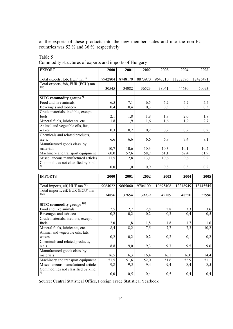of the exports of these products into the new member states and into the non-EU countries was 52 % and 36 %, respectively.

# Table 5

Commodity structures of exports and imports of Hungary

| <b>EXPORT</b>                            | 2000        | 2001        | 2002    | 2003    | 2004     | 2005              |
|------------------------------------------|-------------|-------------|---------|---------|----------|-------------------|
|                                          |             |             |         |         |          |                   |
| Total exports, fob, HUF mn <sup>1)</sup> | 7942804     | 8748170     | 8873970 | 9643710 | 11232376 | 12425491          |
| Total exports, fob, EUR (ECU) mn         |             |             |         |         |          |                   |
| 1)2)                                     | 30545       | 34082       | 36523   | 38041   | 44630    | 50093             |
|                                          |             |             |         |         |          |                   |
| SITC commodity groups <sup>1)</sup>      |             |             |         |         |          |                   |
| Food and live animals                    | 6,5         | 7,1         | 6,5     | 6,2     | 5,7      |                   |
| Beverages and tobacco                    | 0,4         | 0,4         | 0,3     | 0,3     | 0,3      | $\frac{5,5}{0,3}$ |
| Crude materials, inedible, except        |             |             |         |         |          |                   |
| fuels                                    | 2,1         | 1,8         | 1,8     | 1,8     | 2,0      |                   |
| Mineral fuels, lubricants, etc.          | 1,8         | 1,9         | 1,6     | 1,6     | 1,9      | $\frac{1,8}{2,7}$ |
| Animal and vegetable oils, fats,         |             |             |         |         |          |                   |
| waxes                                    | 0,3         | 0,2         | 0,2     | 0,2     | 0,2      | 0,2               |
| Chemicals and related products,          |             |             |         |         |          |                   |
| n.e.s.                                   | 6,6         | 6,6         | 6,6     | 6,9     | 7,4      | 8,1               |
| Manufactured goods class. by             |             |             |         |         |          |                   |
| materials                                | 10,7        | 10,6        | 10,3    | 10,3    | 10,1     | 10,2              |
| Machinery and transport equipment        | 60,0        | 57,6        | 58,7    | 61,1    | 62,4     | 61,9              |
| Miscellaneous manufactured articles      | 11,5        | 12,8        | 13,1    | 10,6    | 9,6      | 9,2               |
| Commodities not classified by kind       |             |             |         |         |          |                   |
| 3)                                       | 0,0         | 1,0         | 0,9     | 0,8     | 0,3      | 0,2               |
|                                          |             |             |         |         |          |                   |
| $I$ $M$ $D$ $D$ $T$ $C$                  | <b>2000</b> | <b>2001</b> | anna.   | 2002    | $2004$   | <b>2005</b>       |

| <b>IMPORTS</b>                                            | 2000    | 2001    | 2002    | 2003     | 2004     | 2005     |
|-----------------------------------------------------------|---------|---------|---------|----------|----------|----------|
|                                                           |         |         |         |          |          |          |
| Total imports, cif, HUF mn <sup>1)2)</sup>                | 9064022 | 9665060 | 9704100 | 10695408 | 12218949 | 13145545 |
| Total imports, cif, EUR (ECU) mn<br>1)2)3)                |         |         |         |          |          |          |
|                                                           | 34856   | 37654   | 39939   | 42189    | 48550    | 52996    |
|                                                           |         |         |         |          |          |          |
| <b>SITC</b> commodity groups <sup><math>1)2)</math></sup> |         |         |         |          |          |          |
| Food and live animals                                     | 2,5     | 2,7     | 2,8     | 2,8      | 3,3      | 3,6      |
| Beverages and tobacco                                     | 0,2     | 0,2     | 0,2     | 0,3      | 0,4      | 0,5      |
| Crude materials, inedible, except                         |         |         |         |          |          |          |
| fuels                                                     | 2,0     | 1,8     | 1,8     | 1,8      | 1,7      | 1,6      |
| Mineral fuels, lubricants, etc.                           | 8,4     | 8,2     | 7,5     | 7,7      | 7,3      | 10,2     |
| Animal and vegetable oils, fats,                          |         |         |         |          |          |          |
| waxes                                                     | 0,2     | 0,2     | 0,2     | 0,2      | 0,1      | 0,2      |
| Chemicals and related products,                           |         |         |         |          |          |          |
| n.e.s.                                                    | 8,8     | 9,0     | 9,3     | 9,7      | 9,5      | 9,6      |
| Manufactured goods class. by                              |         |         |         |          |          |          |
| materials                                                 | 16,5    | 16,3    | 16,4    | 16,1     | 16,0     | 14,4     |
| Machinery and transport equipment                         | 51,5    | 51,6    | 52,0    | 51,6     | 52,9     | 51,1     |
| Miscellaneous manufactured articles                       | 9,8     | 9,5     | 9,4     | 9,4      | 8,4      | 8,5      |
| Commodities not classified by kind                        |         |         |         |          |          |          |
| 4)                                                        | 0,0     | 0,5     | 0,4     | 0,5      | 0,4      | 0,4      |

Source: Central Statistical Office, Foreign Trade Statistical Yearbook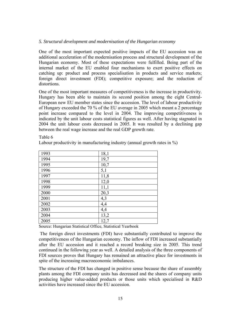## *5. Structural development and modernisation of the Hungarian economy*

One of the most important expected positive impacts of the EU accession was an additional acceleration of the modernisation process and structural development of the Hungarian economy. Most of these expectations were fulfilled. Being part of the internal market of the EU enabled four mechanisms to exert positive effects on catching up: product and process specialisation in products and service markets; foreign direct investment (FDI); competitive exposure; and the reduction of distortions.

One of the most important measures of competitiveness is the increase in productivity. Hungary has been able to maintain its second position among the eight Central-European new EU member states since the accession. The level of labour productivity of Hungary exceeded the 70 % of the EU average in 2005 which meant a 2 percentage point increase compared to the level in 2004. The improving competitiveness is indicated by the unit labour costs statistical figures as well. After having stagnated in 2004 the unit labour costs decreased in 2005. It was resulted by a declining gap between the real wage increase and the real GDP growth rate.

Table 6

Labour productivity in manufacturing industry (annual growth rates in %)

| 1993 | 18,1 |
|------|------|
| 1994 | 19,7 |
| 1995 | 10,7 |
| 1996 | 5,1  |
| 1997 | 11,8 |
| 1998 | 12,0 |
| 1999 | 11,1 |
| 2000 | 20,3 |
| 2001 | 4,3  |
| 2002 | 4,4  |
| 2003 | 4,4  |
| 2004 | 13,2 |
| 2005 | 12,7 |

Source: Hungarian Statistical Office, Statistical Yearbook

 The foreign direct investments (FDI) have substantially contributed to improve the competitiveness of the Hungarian economy. The inflow of FDI increased substantially after the EU accession and it reached a record breaking size in 2005. This trend continued in the following year as well. A detailed analysis of the three components of FDI sources proves that Hungary has remained an attractive place for investments in spite of the increasing macroeconomic imbalances.

The structure of the FDI has changed in positive sense because the share of assembly plants among the FDI company units has decreased and the shares of company units producing higher value-added products or those units which specialised in R&D activities have increased since the EU accession.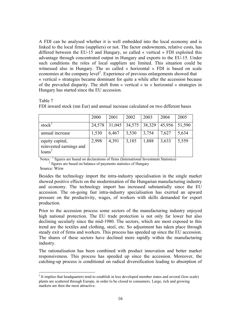A FDI can be analysed whether it is well embedded into the local economy and is linked to the local firms (suppliers) or not. The factor endowments, relative costs, has differed between the EU-15 and Hungary, so called « vertical » FDI exploited this advantage through concentrated output in Hungary and exports to the EU-15. Under such conditions the roles of local suppliers are limited. This situation could be witnessed also in Hungary. The so called « horizontal » FDI is based on scale economies at the company level<sup>[2](#page-15-0)</sup>. Experience of previous enlargements showed that « vertical » strategies became dominant for quite a while after the accession because of the prevailed disparity. The shift from « vertical » to « horizontal » strategies in Hungary has started since the EU accession.

Table 7

|                                                                  | 2000   | 2001   | 2002   | 2003   | 2004   | 2005   |
|------------------------------------------------------------------|--------|--------|--------|--------|--------|--------|
| stock <sup>1</sup>                                               | 24,578 | 31,045 | 34,575 | 38,329 | 45,956 | 51,590 |
| annual increase                                                  | 1,530  | 6,467  | 3,530  | 3,754  | 7,627  | 5,634  |
| equity capital,<br>reinvested earnings and<br>loans <sup>2</sup> | 2,998  | 4,391  | 3,185  | 1,888  | 3,633  | 5,559  |

FDI inward stock (mn Eur) and annual increase calculated on two different bases

Notes: <sup>1</sup> figures are based on declarations of firms (International Investment Statistics) <sup>2</sup> figures are based on balance of payments statistics of Hungary

Source: Wiiw

 $\overline{a}$ 

Besides the technology import the intra-industry specialisation in the single market showed positive effects on the modernisation of the Hungarian manufacturing industry and economy. The technology import has increased substantially since the EU accession. The on-going fast intra-industry specialisation has exerted an upward pressure on the productivity, wages, of workers with skills demanded for export production.

Prior to the accession process some sectors of the manufacturing industry enjoyed high national protection. The EU trade protection is not only far lower but also declining secularly since the mid-1980. The sectors, which are most exposed to this trend are the textiles and clothing, steel, etc. So adjustment has taken place through steady exit of firms and workers. This process has speeded up since the EU accession. The shares of these sectors have declined more rapidly within the manufacturing industry.

The rationalisation has been combined with product innovation and better market responsiveness. This process has speeded up since the accession. Moreover, the catching-up process is conditional on radical diversification leading to absorption of

<span id="page-15-0"></span> $2$  It implies that headquarters tend to establish in less developed member states and several (low-scale) plants are scattered through Europe, in order to be closed to consumers. Large, rich and growing markets are then the most attractive.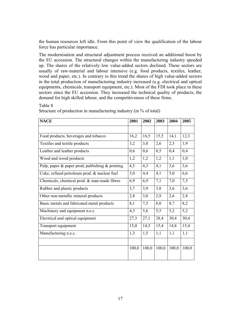the human resources left idle. From this point of view the qualification of the labour force has particular importance.

The modernisation and structural adjustment process received an additional boost by the EU accession. The structural changes within the manufacturing industry speeded up. The shares of the relatively low value-added sectors declined. These sectors are usually of raw-material and labour intensive (e.g. food products, textiles, leather, wood and paper, etc.). In contrary to this trend the shares of high value-added sectors in the total production of manufacturing industry increased (e.g. electrical and optical equipments, chemicals, transport equipment, etc.). Most of the FDI took place in these sectors since the EU accession. They increased the technical quality of products, the demand for high skilled labour, and the competitiveness of these firms.

| <b>NACE</b>                                           | 2001  | 2002  | 2003  | 2004  | 2005  |
|-------------------------------------------------------|-------|-------|-------|-------|-------|
|                                                       |       |       |       |       |       |
| Food products, beverages and tobacco                  | 16,2  | 16,5  | 15,5  | 14,1  | 12,3  |
| Textiles and textile products                         | 3,2   | 3,0   | 2,6   | 2,3   | 1,9   |
| Leather and leather products                          | 0,6   | 0,6   | 0,5   | 0,4   | 0,4   |
| Wood and wood products                                | 1,2   | 1,2   | 1,2   | 1,1   | 1,0   |
| Pulp, paper $\&$ paper prod; publishing $\&$ printing | 4,5   | 4,3   | 4,1   | 3,6   | 3,6   |
| Coke, refined petroleum prod. & nuclear fuel          | 5,0   | 4,4   | 4,1   | 5,0   | 6,6   |
| Chemicals, chemical prod. & man-made fibres           | 6,9   | 6,9   | 7,1   | 7,0   | 7,5   |
| Rubber and plastic products                           | 3,7   | 3,9   | 3,8   | 3,6   | 3,6   |
| Other non-metallic mineral products                   | 2,8   | 3,0   | 2,9   | 2,6   | 2,8   |
| Basic metals and fabricated metal products            | 8,1   | 7,5   | 8,0   | 8,7   | 8,2   |
| Machinery and equipment n.e.c.                        | 4,3   | 5,6   | 5,5   | 5,2   | 5,2   |
| Electrical and optical equipment                      | 27,3  | 27,1  | 28,4  | 30,4  | 30,4  |
| Transport equipment                                   | 15,0  | 14,5  | 15,4  | 14,8  | 15,4  |
| Manufacturing n.e.c.                                  | 1,3   | 1,5   | 1,1   | 1,1   | 1,1   |
|                                                       |       |       |       |       |       |
|                                                       | 100,0 | 100,0 | 100,0 | 100,0 | 100,0 |
|                                                       |       |       |       |       |       |

Structure of production in manufacturing industry (in % of total)

Table 8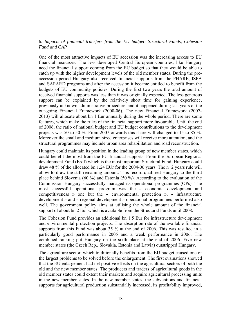# *6. Impacts of financial transfers from the EU budget: Structural Funds, Cohesion Fund and CAP*

One of the most attractive impacts of EU accession was the increasing access to EU financial resources. The less developed Central European countries, like Hungary need the financial support coming from the EU budget so that they would be able to catch up with the higher development levels of the old member states. During the preaccession period Hungary also received financial supports from the PHARE, ISPA and SAPARD programs and after the accession it became entitled to benefit from the budgets of EU community policies. During the first two years the total amount of received financial supports was less than it was originally expected. The less generous support can be explained by the relatively short time for gaining experience, previously unknown administrative procedure, and it happened during last years of the out-going Financial Framework (2000-06). The new Financial Framework (2007- 2013) will allocate about bn 1 Eur annually during the whole period. There are some features, which make the rules of the financial support more favourable. Until the end of 2006, the ratio of national budget and EU budget contributions to the development projects was 50 to 50 %. From 2007 onwards this share will changed to 15 to 85 %. Moreover the small and medium sized enterprises will receive more attention, and the structural programmes may include urban area rehabilitation and road reconstruction.

Hungary could maintain its position in the leading group of new member states, which could benefit the most from the EU financial supports. From the European Regional development Fund (Erdf) which is the most important Structural Fund, Hungary could draw 48 % of the allocated bn 1.24 EUr for the 2004-06 years. The n+2 years rule will allow to draw the still remaining amount. This record qualified Hungary to the third place behind Slovenia (60 %) and Estonia (50 %). According to the evaluation of the Commission Hungary successfully managed its operational programmes (OPs). The most successful operational program was the « economic development and competitiveness » one but the « environmental protection », « infrastructure development » and « regional development » operational programmes performed also well. The government policy aims at utilising the whole amount of the financial support of about bn 2 Eur which is available from the Structural Funds until 2008.

The Cohesion Fund provides an additional bn 1.5 Eur for infrastructure development and environmental protection projects. The absorption rate of the available financial supports from this Fund was about 35 % at the end of 2006. This was resulted in a particularly good performance in 2005 and a weak performance in 2006. The combined ranking put Hungary on the sixth place at the end of 2006. Five new member states (the Czech Rep., Slovakia, Estonia and Latvia) outstripped Hungary.

The agriculture sector, which traditionally benefits from the EU budget caused one of the largest problems to be solved before the enlargement. The first evaluations showed that the EU enlargement had net positive effects on the agricultural sectors of both the old and the new member states. The producers and traders of agricultural goods in the old member states could extent their markets and acquire agricultural processing units in the new member states. In the new member states, the subventions and financial supports for agricultural production substantially increased, its profitability improved,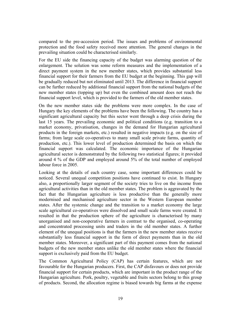compared to the pre-accession period. The issues and problems of environmental protection and the food safety received more attention. The general changes in the prevailing situation could be characterised similarly.

For the EU side the financing capacity of the budget was alarming question of the enlargement. The solution was some reform measures and the implementation of a direct payment system in the new member states, which provides substantial less financial support for their farmers from the EU budget at the beginning. This gap will be gradually reduced but not eliminated until 2013. The difference in financial support can be further reduced by additional financial support from the national budgets of the new member states (topping up) but even the combined amount does not reach the financial support level, which is provided to the farmers of the old member states.

On the new member states side the problems were more complex. In the case of Hungary the key elements of the problems have been the following. The country has a significant agricultural capacity but this sector went through a deep crisis during the last 15 years. The prevailing economic and political conditions (e.g. transition to a market economy, privatisation, changes in the demand for Hungarian agricultural products in the foreign markets, etc.) resulted in negative impacts (e.g. on the size of farms; from large scale co-operatives to many small scale private farms, quantity of production, etc.). This lower level of production determined the basis on which the financial support was calculated. The economic importance of the Hungarian agricultural sector is demonstrated by the following two statistical figures; it provided around 4 % of the GDP and employed around 5% of the total number of employed labour force in 2005.

Looking at the details of each country case, some important differences could be noticed. Several unequal competition positions have continued to exist. In Hungary also, a proportionally larger segment of the society tries to live on the income from agricultural activities than in the old member states. The problem is aggravated by the fact that the Hungarian agriculture is less productive than the generally more modernised and mechanised agriculture sector in the Western European member states. After the systemic change and the transition to a market economy the large scale agricultural co-operatives were dissolved and small scale farms were created. It resulted in that the production sphere of the agriculture is characterised by many unorganised and non-cooperative farmers in contrast to the organised, co-operating and concentrated processing units and traders in the old member states. A further element of the unequal positions is that the farmers in the new member states receive substantially less financial support in the form of direct payments than in the old member states. Moreover, a significant part of this payment comes from the national budgets of the new member states unlike the old member states where the financial support is exclusively paid from the EU budget.

The Common Agricultural Policy (CAP) has certain features, which are not favourable for the Hungarian producers. First, the CAP disfavours or does not provide financial support for certain products, which are important in the product range of the Hungarian agriculture. Pork, poultry, vegetable and fruits sectors belong to this group of products. Second, the allocation regime is biased towards big farms at the expense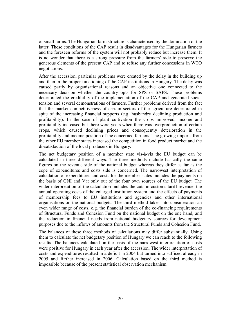of small farms. The Hungarian farm structure is characterised by the domination of the latter. These conditions of the CAP result in disadvantages for the Hungarian farmers and the foreseen reforms of the system will not probably reduce but increase them. It is no wonder that there is a strong pressure from the farmers' side to preserve the generous elements of the present CAP and to refuse any further concessions in WTO negotiations.

After the accession, particular problems were created by the delay in the building up and than in the proper functioning of the CAP institutions in Hungary. The delay was caused partly by organisational reasons and an objective one connected to the necessary decision whether the country opts for SPS or SAPS. These problems deteriorated the credibility of the implementation of the CAP and generated social tension and several demonstrations of farmers. Further problems derived from the fact that the market competitiveness of certain sectors of the agriculture deteriorated in spite of the increasing financial supports (e.g. husbandry declining production and profitability). In the case of plant cultivation the crops improved, income and profitability increased but there were years when there was overproduction of certain crops, which caused declining prices and consequently deterioration in the profitability and income position of the concerned farmers. The growing imports from the other EU member states increased the competition in food product market and the dissatisfaction of the local producers in Hungary.

The net budgetary position of a member state vis-à-vis the EU budget can be calculated in three different ways. The three methods include basically the same figures on the revenue side of the national budget whereas they differ as far as the cope of expenditures and costs side is concerned. The narrowest interpretation of calculation of expenditures and costs for the member states includes the payments on the basis of GNI and Vat only out of the four own sources of the EU budget. The wider interpretation of the calculation includes the cuts in customs tariff revenue, the annual operating costs of the enlarged institution system and the effects of payments of membership fees to EU institutions and agencies and other international organisations on the national budgets. The third method takes into consideration an even wider range of costs, e.g. the financial burden of the co-financing requirements of Structural Funds and Cohesion Fund on the national budget on the one hand, and the reduction in financial needs from national budgetary sources for development purposes due to the inflows of amounts from the Structural Funds and Cohesion Fund.

The balances of these three methods of calculations may differ substantially. Using them to calculate the net budgetary position of Hungary we can reach to the following results. The balances calculated on the basis of the narrowest interpretation of costs were positive for Hungary in each year after the accession. The wider interpretation of costs and expenditures resulted in a deficit in 2004 but turned into sufficed already in 2005 and further increased in 2006. Calculation based on the third method is impossible because of the present statistical observation mechanism.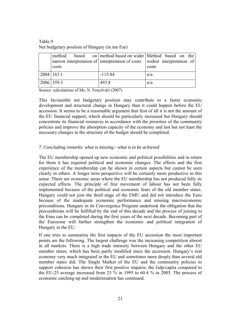Table 9 Net budgetary position of Hungary (in mn Eur)

| method            |           | based on method based on wider Method based on the                        |
|-------------------|-----------|---------------------------------------------------------------------------|
|                   |           | narrow interpretation of interpretation of costs widest interpretation of |
| costs             |           | costs                                                                     |
| $2004 \mid 163.1$ | $-115.84$ | n/a                                                                       |
| 2006 359.3        | 493.8     | n/a                                                                       |

Source: calculations of Ms. N. Fenyővári (2007)

This favourable net budgetary position may contribute to a faster economic development and structural change in Hungary than it could happen before the EU accession. It seems to be a reasonable argument that first of all it is not the amount of the EU financial support, which should be particularly increased but Hungary should concentrate its financial resources in accordance with the priorities of the community policies and improve the absorption capacity of the economy and last but not least the necessary changes in the structure of the budget should be completed.

# *7. Concluding remarks: what is missing - what is to be achieved*

The EU membership opened up new economic and political possibilities and in return for them it has required political and economic changes. The effects and the first experience of the membership can be shown in certain aspects but cannot be seen clearly in others. A longer term perspective will be certainly more productive in this sense. There are economic areas where the EU membership has not produced fully its expected effects. The principle of free movement of labour has not been fully implemented because of the political and economic fears of the old member states. Hungary could not join the third stage of the EMU and did not introduce the Euro because of the inadequate economic performance and missing macroeconomic preconditions. Hungary in its Convergence Program undertook the obligation that the preconditions will be fulfilled by the end of this decade and the process of joining to the Emu can be completed during the first years of the next decade. Becoming part of the Eurozone will further strengthen the economic and political integration of Hungary in the EU.

If one tries to summarise the first impacts of the EU accession the most important points are the following. The largest challenge was the increasing competition almost in all markets. There is a high trade intensity between Hungary and the other EU member states, which has been partly modified since the accession. Hungary's real economy very much integrated in the EU and sometimes more deeply than several old member states did. The Single Market of the EU and the community policies to support cohesion has shown their first positive impacts; the Gdp/capita compared to the EU-25 average increased from 25 % in 1995 to 60.4 % in 2005. The process of economic catching-up and modernisation has continued.